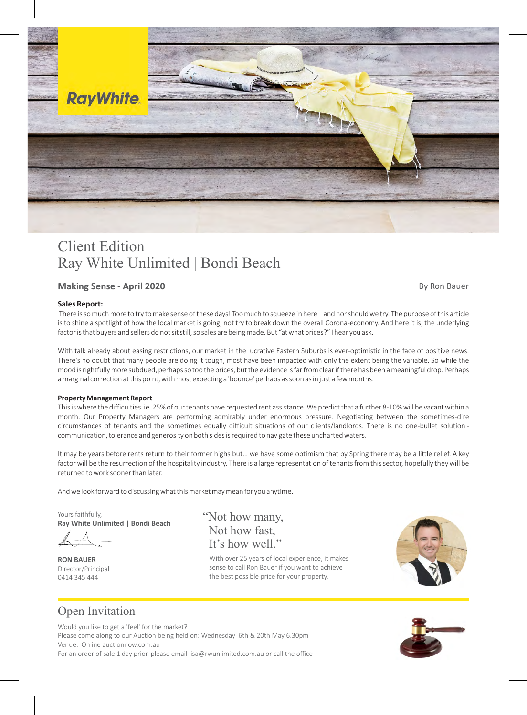

# Client Edition Ray White Unlimited | Bondi Beach

### **Making Sense - April 2020 By Ron Bauer** By Ron Bauer

#### **Sales Report:**

 There is so much more to try to make sense of these days! Too much to squeeze in here – and nor should we try. The purpose of this article is to shine a spotlight of how the local market is going, not try to break down the overall Corona-economy. And here it is; the underlying factor is that buyers and sellers do not sit still, so sales are being made. But "at what prices?" I hear you ask.

With talk already about easing restrictions, our market in the lucrative Eastern Suburbs is ever-optimistic in the face of positive news. There's no doubt that many people are doing it tough, most have been impacted with only the extent being the variable. So while the mood is rightfully more subdued, perhaps so too the prices, but the evidence is far from clear if there has been a meaningful drop. Perhaps a marginal correction at this point, with most expecting a 'bounce' perhaps as soon as in just a few months.

#### **Property Management Report**

This is where the difficulties lie. 25% of our tenants have requested rent assistance. We predict that a further 8-10% will be vacant within a month. Our Property Managers are performing admirably under enormous pressure. Negotiating between the sometimes-dire circumstances of tenants and the sometimes equally difficult situations of our clients/landlords. There is no one-bullet solution communication, tolerance and generosity on both sides is required to navigate these uncharted waters.

It may be years before rents return to their former highs but… we have some optimism that by Spring there may be a little relief. A key factor will be the resurrection of the hospitality industry. There is a large representation of tenants from this sector, hopefully they will be returned to work sooner than later.

And we look forward to discussing what this market may mean for you anytime.

Yours faithfully, **Ray White Unlimited | Bondi Beach**

Director/Principal 0414 345 444 **RON BAUER**

It's how well." "Not how many, Not how fast,

With over 25 years of local experience, it makes sense to call Ron Bauer if you want to achieve the best possible price for your property.



## Open Invitation

Would you like to get a 'feel' for the market? Venue: Online auctionnow.com.au Please come along to our Auction being held on: Wednesday 6th & 20th May 6.30pm For an order of sale 1 day prior, please email lisa@rwunlimited.com.au or call the office